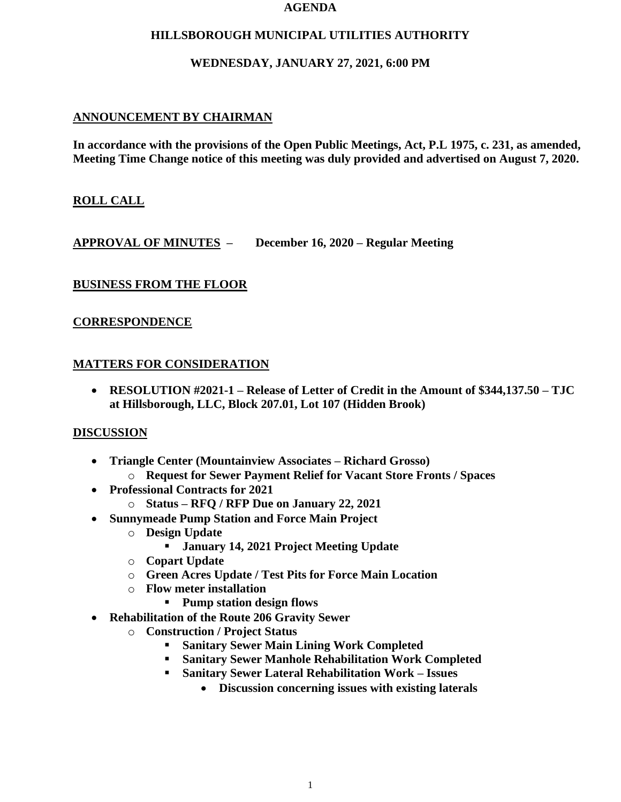#### **AGENDA**

#### **HILLSBOROUGH MUNICIPAL UTILITIES AUTHORITY**

#### **WEDNESDAY, JANUARY 27, 2021, 6:00 PM**

### **ANNOUNCEMENT BY CHAIRMAN**

**In accordance with the provisions of the Open Public Meetings, Act, P.L 1975, c. 231, as amended, Meeting Time Change notice of this meeting was duly provided and advertised on August 7, 2020.**

## **ROLL CALL**

**APPROVAL OF MINUTES – December 16, 2020 – Regular Meeting**

## **BUSINESS FROM THE FLOOR**

## **CORRESPONDENCE**

#### **MATTERS FOR CONSIDERATION**

• **RESOLUTION #2021-1 – Release of Letter of Credit in the Amount of \$344,137.50 – TJC at Hillsborough, LLC, Block 207.01, Lot 107 (Hidden Brook)**

#### **DISCUSSION**

- **Triangle Center (Mountainview Associates – Richard Grosso)**
	- o **Request for Sewer Payment Relief for Vacant Store Fronts / Spaces**
- **Professional Contracts for 2021**
	- o **Status – RFQ / RFP Due on January 22, 2021**
- **Sunnymeade Pump Station and Force Main Project**
	- o **Design Update**
		- **January 14, 2021 Project Meeting Update**
	- o **Copart Update**
	- o **Green Acres Update / Test Pits for Force Main Location**
	- o **Flow meter installation**
		- **Pump station design flows**
- **Rehabilitation of the Route 206 Gravity Sewer**
	- o **Construction / Project Status**
		- **Sanitary Sewer Main Lining Work Completed**
		- **Sanitary Sewer Manhole Rehabilitation Work Completed**
		- **Sanitary Sewer Lateral Rehabilitation Work – Issues**
			- **Discussion concerning issues with existing laterals**